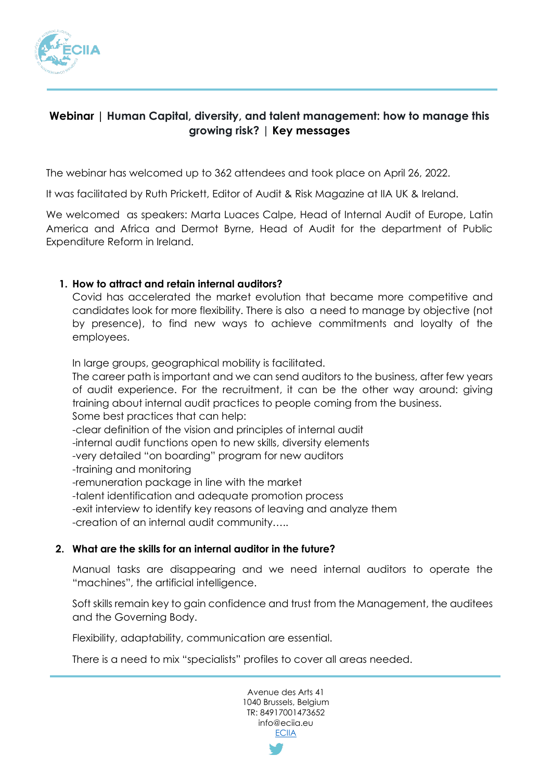

# **Webinar** *|* **Human Capital, diversity, and talent management: how to manage this growing risk?** *|* **Key messages**

The webinar has welcomed up to 362 attendees and took place on April 26, 2022.

It was facilitated by Ruth Prickett, Editor of Audit & Risk Magazine at IIA UK & Ireland.

We welcomed as speakers: Marta Luaces Calpe, Head of Internal Audit of Europe, Latin America and Africa and Dermot Byrne, Head of Audit for the department of Public Expenditure Reform in Ireland.

## **1. How to attract and retain internal auditors?**

Covid has accelerated the market evolution that became more competitive and candidates look for more flexibility. There is also a need to manage by objective (not by presence), to find new ways to achieve commitments and loyalty of the employees.

In large groups, geographical mobility is facilitated.

The career path is important and we can send auditors to the business, after few years of audit experience. For the recruitment, it can be the other way around: giving training about internal audit practices to people coming from the business.

Some best practices that can help:

-clear definition of the vision and principles of internal audit

-internal audit functions open to new skills, diversity elements

- -very detailed "on boarding" program for new auditors
- -training and monitoring

-remuneration package in line with the market

-talent identification and adequate promotion process

-exit interview to identify key reasons of leaving and analyze them

-creation of an internal audit community…..

#### **2. What are the skills for an internal auditor in the future?**

Manual tasks are disappearing and we need internal auditors to operate the "machines", the artificial intelligence.

Soft skills remain key to gain confidence and trust from the Management, the auditees and the Governing Body.

Flexibility, adaptability, communication are essential.

There is a need to mix "specialists" profiles to cover all areas needed.